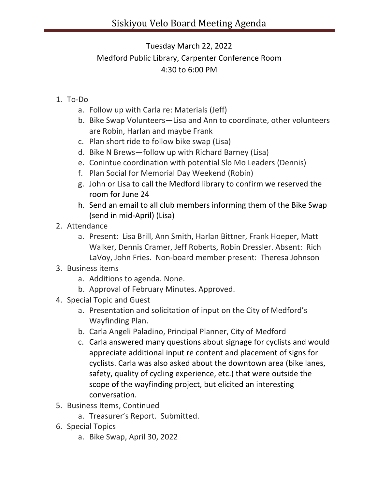## Tuesday March 22, 2022 Medford Public Library, Carpenter Conference Room 4:30 to 6:00 PM

- 1. To-Do
	- a. Follow up with Carla re: Materials (Jeff)
	- b. Bike Swap Volunteers—Lisa and Ann to coordinate, other volunteers are Robin, Harlan and maybe Frank
	- c. Plan short ride to follow bike swap (Lisa)
	- d. Bike N Brews—follow up with Richard Barney (Lisa)
	- e. Conintue coordination with potential Slo Mo Leaders (Dennis)
	- f. Plan Social for Memorial Day Weekend (Robin)
	- g. John or Lisa to call the Medford library to confirm we reserved the room for June 24
	- h. Send an email to all club members informing them of the Bike Swap (send in mid-April) (Lisa)
- 2. Attendance
	- a. Present: Lisa Brill, Ann Smith, Harlan Bittner, Frank Hoeper, Matt Walker, Dennis Cramer, Jeff Roberts, Robin Dressler. Absent: Rich LaVoy, John Fries. Non-board member present: Theresa Johnson
- 3. Business items
	- a. Additions to agenda. None.
	- b. Approval of February Minutes. Approved.
- 4. Special Topic and Guest
	- a. Presentation and solicitation of input on the City of Medford's Wayfinding Plan.
	- b. Carla Angeli Paladino, Principal Planner, City of Medford
	- c. Carla answered many questions about signage for cyclists and would appreciate additional input re content and placement of signs for cyclists. Carla was also asked about the downtown area (bike lanes, safety, quality of cycling experience, etc.) that were outside the scope of the wayfinding project, but elicited an interesting conversation.
- 5. Business Items, Continued
	- a. Treasurer's Report. Submitted.
- 6. Special Topics
	- a. Bike Swap, April 30, 2022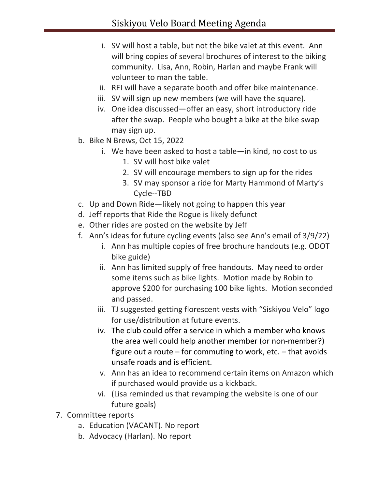- i. SV will host a table, but not the bike valet at this event. Ann will bring copies of several brochures of interest to the biking community. Lisa, Ann, Robin, Harlan and maybe Frank will volunteer to man the table.
- ii. REI will have a separate booth and offer bike maintenance.
- iii. SV will sign up new members (we will have the square).
- iv. One idea discussed—offer an easy, short introductory ride after the swap. People who bought a bike at the bike swap may sign up.
- b. Bike N Brews, Oct 15, 2022
	- i. We have been asked to host a table—in kind, no cost to us 1. SV will host bike valet
		- 2. SV will encourage members to sign up for the rides
		- 3. SV may sponsor a ride for Marty Hammond of Marty's Cycle--TBD
- c. Up and Down Ride—likely not going to happen this year
- d. Jeff reports that Ride the Rogue is likely defunct
- e. Other rides are posted on the website by Jeff
- f. Ann's ideas for future cycling events (also see Ann's email of 3/9/22)
	- i. Ann has multiple copies of free brochure handouts (e.g. ODOT bike guide)
	- ii. Ann has limited supply of free handouts. May need to order some items such as bike lights. Motion made by Robin to approve \$200 for purchasing 100 bike lights. Motion seconded and passed.
	- iii. TJ suggested getting florescent vests with "Siskiyou Velo" logo for use/distribution at future events.
	- iv. The club could offer a service in which a member who knows the area well could help another member (or non-member?) figure out a route  $-$  for commuting to work, etc.  $-$  that avoids unsafe roads and is efficient.
	- v. Ann has an idea to recommend certain items on Amazon which if purchased would provide us a kickback.
	- vi. (Lisa reminded us that revamping the website is one of our future goals)
- 7. Committee reports
	- a. Education (VACANT). No report
	- b. Advocacy (Harlan). No report